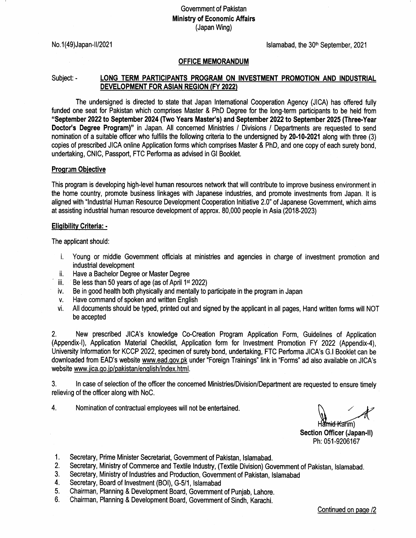# Govemment of Paklstan Ministry of Economic Affairs (Japan Wing)

No. 1(49) Japan-II/2021 **No. 1(49)** Japan-II/2021

## OFFICE MEMORANDUM

# Subject: - LONG TERM PARTICIPANTS PROGRAM ON INVESTMENT PROMOTION AND INDUSTRIAL DEVELOPMENT FOR ASIAN REGION (FY 2022)

The undersigned is directed to state that Japan lntemational Cooperation Agency (JICA) has offered fully funded one seat for Pakistan which comprises Master & PhD Degree for the long-term participants to be held from "September 2022 to September 2024 (Two Years Master's) and September 2022to September 2025 (Three.Year Doctor's Degree Program)" in Japan. All concerned Ministries / Divisions / Departments are requested to send nomination of a suitable officer who fulfills the following criteria to the undersigned by 20-10-2021 along with three (3) copies of prescribed JICA online Application forms which comprises Master & PhD, and one copy of each surety bond, undertaking, CNIC, Passport, FTC Performa as advised in Gl Booklet.

## Program Objective

This program is developing high-level human resources network that will contribute to improve business environment in the home country, promote business linkages with Japanese industries, and promote investments from Japan. lt is aligned with "lndustrial Human Resource Development Cooperation lnitiative 2.0" of Japanese Govemment, which aims at assisting industrial human resource development of approx. 80,000 people in Asia (2018-20231

#### Eliqibilitv Criteria: -

The applicant should:

- i, Young or middle Govemment officials at ministries and agencies in charge of investment promotion and
- 
- ii. Have a Bachelor Degree or Master Degree<br>iii. Be less than 50 years of age (as of April 1<sup>st</sup> 2022)
- iv. Be in good health both physically and mentally to participate in the program in Japan
- v. Have command of spoken and written English
- vi. All documents should be typed, printed out and signed by the applicant in all pages, Hand written forms will NOT be accepted

2, New prescribed JICA's knowledge Co-Creation Program Application Form, Guidelines of Application (Appendix'l), Application Material Checklist, Application form for lnvestment Promotion FY 2022 (Appendix-4), University lnformation for KCCP 2022, specimen of surety bond, undertaking, FTC Performa JICA's G.l Booklet can be downloaded from EAD's website www.ead.gov.pk under "Foreign Trainings" link in "Forms" ad also available on JICA's website www.jica.go.jp/pakistan/english/index.html.

3. In case of selection of the officer the concerned Ministries/Division/Department are requested to ensure timely relieving of the officer along with NoC.

4. Nomination of contractual employees will not be entertained.

Hamid Karim)

Section Officer (Japan-ll) Ph:051-9206167

- 
- 1. Secretary, Prime Minister Secretariat, Government of Pakistan, Islamabad.<br>
2. Secretary, Ministry of Commerce and Textile Industry, (Textile Division) Government of Pakistan, Islamabad.<br>
3. Secretary, Ministry of Indust
- 
- 
- 
-